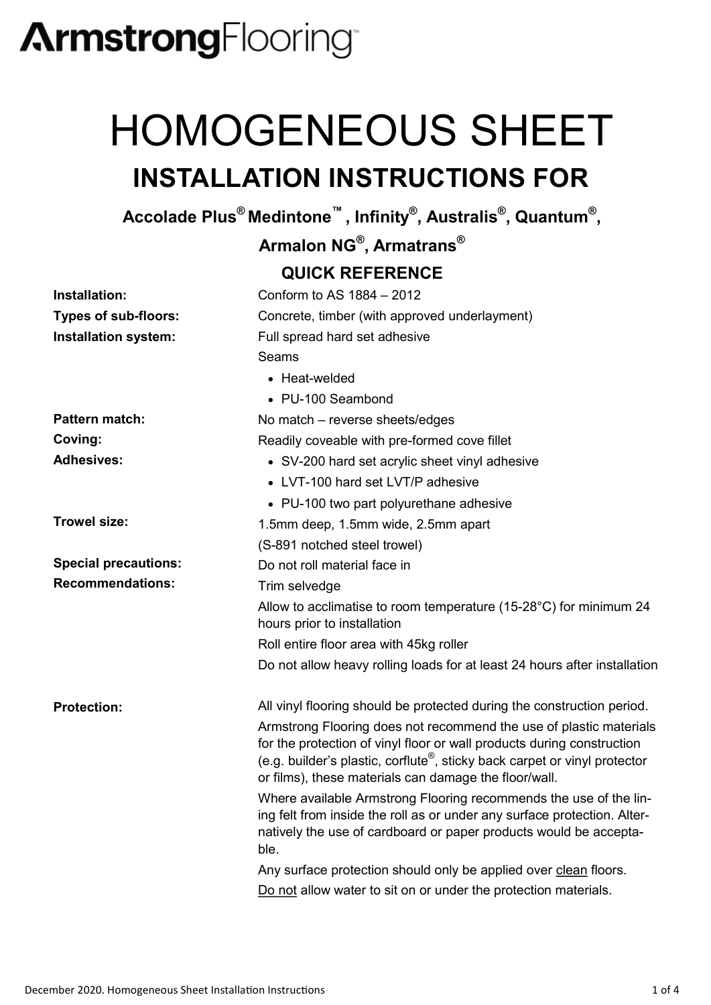## **ArmstrongFlooring**

## HOMOGENEOUS SHEET **INSTALLATION INSTRUCTIONS FOR**

**Accolade Plus® Medintone™ , Infinity® , Australis® , Quantum® ,** 

**Armalon NG® , Armatrans®**

#### **QUICK REFERENCE**

| Installation:               | Conform to AS 1884 - 2012                                                                                                                                                                                                                                                                       |
|-----------------------------|-------------------------------------------------------------------------------------------------------------------------------------------------------------------------------------------------------------------------------------------------------------------------------------------------|
| <b>Types of sub-floors:</b> | Concrete, timber (with approved underlayment)                                                                                                                                                                                                                                                   |
| Installation system:        | Full spread hard set adhesive                                                                                                                                                                                                                                                                   |
|                             | Seams                                                                                                                                                                                                                                                                                           |
|                             | $\bullet$ Heat-welded                                                                                                                                                                                                                                                                           |
|                             | • PU-100 Seambond                                                                                                                                                                                                                                                                               |
| <b>Pattern match:</b>       | No match - reverse sheets/edges                                                                                                                                                                                                                                                                 |
| Coving:                     | Readily coveable with pre-formed cove fillet                                                                                                                                                                                                                                                    |
| <b>Adhesives:</b>           | • SV-200 hard set acrylic sheet vinyl adhesive                                                                                                                                                                                                                                                  |
|                             | • LVT-100 hard set LVT/P adhesive                                                                                                                                                                                                                                                               |
|                             | • PU-100 two part polyurethane adhesive                                                                                                                                                                                                                                                         |
| <b>Trowel size:</b>         | 1.5mm deep, 1.5mm wide, 2.5mm apart                                                                                                                                                                                                                                                             |
|                             | (S-891 notched steel trowel)                                                                                                                                                                                                                                                                    |
| <b>Special precautions:</b> | Do not roll material face in                                                                                                                                                                                                                                                                    |
| <b>Recommendations:</b>     | Trim selvedge                                                                                                                                                                                                                                                                                   |
|                             | Allow to acclimatise to room temperature (15-28°C) for minimum 24<br>hours prior to installation                                                                                                                                                                                                |
|                             | Roll entire floor area with 45kg roller                                                                                                                                                                                                                                                         |
|                             | Do not allow heavy rolling loads for at least 24 hours after installation                                                                                                                                                                                                                       |
| <b>Protection:</b>          | All vinyl flooring should be protected during the construction period.                                                                                                                                                                                                                          |
|                             | Armstrong Flooring does not recommend the use of plastic materials<br>for the protection of vinyl floor or wall products during construction<br>(e.g. builder's plastic, corflute <sup>®</sup> , sticky back carpet or vinyl protector<br>or films), these materials can damage the floor/wall. |
|                             | Where available Armstrong Flooring recommends the use of the lin-<br>ing felt from inside the roll as or under any surface protection. Alter-<br>natively the use of cardboard or paper products would be accepta-<br>ble.                                                                      |
|                             | Any surface protection should only be applied over clean floors.                                                                                                                                                                                                                                |
|                             | Do not allow water to sit on or under the protection materials.                                                                                                                                                                                                                                 |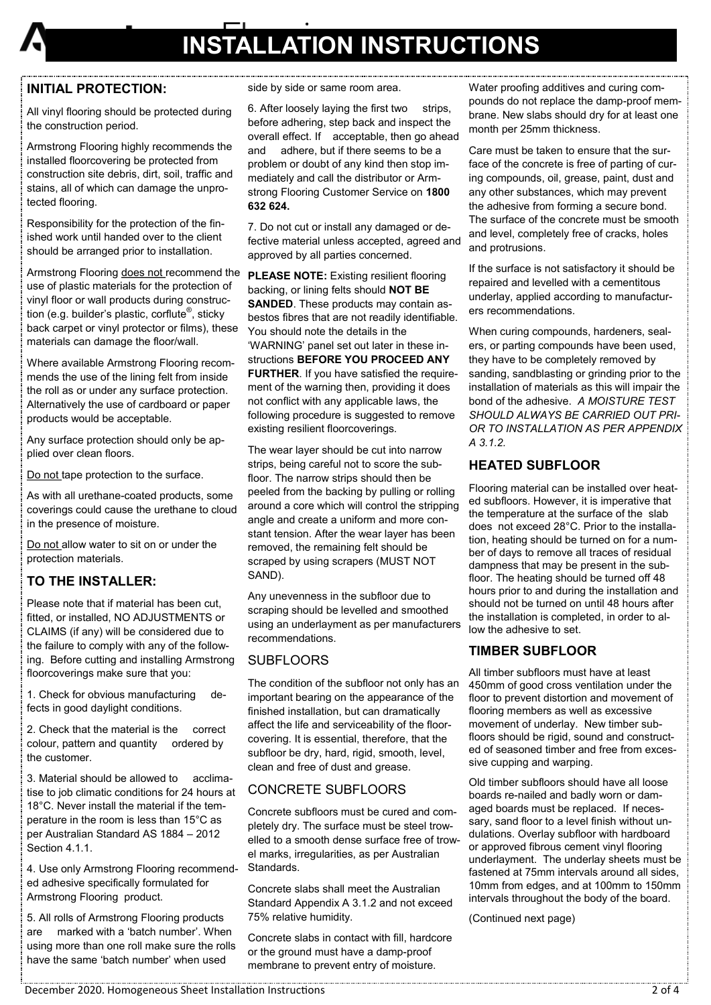

### **INSTALLATION INSTRUCTIONS**

#### **INITIAL PROTECTION:**

All vinyl flooring should be protected during the construction period.

Armstrong Flooring highly recommends the installed floorcovering be protected from construction site debris, dirt, soil, traffic and stains, all of which can damage the unprotected flooring.

Responsibility for the protection of the finished work until handed over to the client should be arranged prior to installation.

Armstrong Flooring does not recommend the use of plastic materials for the protection of vinyl floor or wall products during construction (e.g. builder's plastic, corflute<sup>®</sup>, sticky back carpet or vinyl protector or films), these materials can damage the floor/wall.

Where available Armstrong Flooring recommends the use of the lining felt from inside the roll as or under any surface protection. Alternatively the use of cardboard or paper products would be acceptable.

Any surface protection should only be applied over clean floors.

Do not tape protection to the surface.

As with all urethane-coated products, some coverings could cause the urethane to cloud in the presence of moisture.

Do not allow water to sit on or under the protection materials.

#### **TO THE INSTALLER:**

Please note that if material has been cut, fitted, or installed, NO ADJUSTMENTS or CLAIMS (if any) will be considered due to the failure to comply with any of the following. Before cutting and installing Armstrong floorcoverings make sure that you:

1. Check for obvious manufacturing defects in good daylight conditions.

2. Check that the material is the correct colour, pattern and quantity ordered by the customer.

3. Material should be allowed to acclimatise to job climatic conditions for 24 hours at 18°C. Never install the material if the temperature in the room is less than 15°C as per Australian Standard AS 1884 – 2012 Section 4.1.1.

4. Use only Armstrong Flooring recommended adhesive specifically formulated for Armstrong Flooring product.

5. All rolls of Armstrong Flooring products are marked with a 'batch number'. When using more than one roll make sure the rolls have the same 'batch number' when used

side by side or same room area.

6. After loosely laying the first two strips, before adhering, step back and inspect the overall effect. If acceptable, then go ahead and adhere, but if there seems to be a problem or doubt of any kind then stop immediately and call the distributor or Armstrong Flooring Customer Service on **1800 632 624.**

7. Do not cut or install any damaged or defective material unless accepted, agreed and approved by all parties concerned.

**PLEASE NOTE:** Existing resilient flooring backing, or lining felts should **NOT BE SANDED**. These products may contain asbestos fibres that are not readily identifiable. You should note the details in the 'WARNING' panel set out later in these instructions **BEFORE YOU PROCEED ANY FURTHER**. If you have satisfied the requirement of the warning then, providing it does not conflict with any applicable laws, the following procedure is suggested to remove existing resilient floorcoverings.

The wear layer should be cut into narrow strips, being careful not to score the subfloor. The narrow strips should then be peeled from the backing by pulling or rolling around a core which will control the stripping angle and create a uniform and more constant tension. After the wear layer has been removed, the remaining felt should be scraped by using scrapers (MUST NOT SAND).

Any unevenness in the subfloor due to scraping should be levelled and smoothed using an underlayment as per manufacturers recommendations.

#### **SUBFLOORS**

The condition of the subfloor not only has an important bearing on the appearance of the finished installation, but can dramatically affect the life and serviceability of the floorcovering. It is essential, therefore, that the subfloor be dry, hard, rigid, smooth, level, clean and free of dust and grease.

#### CONCRETE SUBFLOORS

Concrete subfloors must be cured and completely dry. The surface must be steel trowelled to a smooth dense surface free of trowel marks, irregularities, as per Australian Standards.

Concrete slabs shall meet the Australian Standard Appendix A 3.1.2 and not exceed 75% relative humidity.

Concrete slabs in contact with fill, hardcore or the ground must have a damp-proof membrane to prevent entry of moisture.

Water proofing additives and curing compounds do not replace the damp-proof membrane. New slabs should dry for at least one month per 25mm thickness.

Care must be taken to ensure that the surface of the concrete is free of parting of curing compounds, oil, grease, paint, dust and any other substances, which may prevent the adhesive from forming a secure bond. The surface of the concrete must be smooth and level, completely free of cracks, holes and protrusions.

If the surface is not satisfactory it should be repaired and levelled with a cementitous underlay, applied according to manufacturers recommendations.

When curing compounds, hardeners, sealers, or parting compounds have been used, they have to be completely removed by sanding, sandblasting or grinding prior to the installation of materials as this will impair the bond of the adhesive. *A MOISTURE TEST SHOULD ALWAYS BE CARRIED OUT PRI-OR TO INSTALLATION AS PER APPENDIX A 3.1.2.*

#### **HEATED SUBFLOOR**

Flooring material can be installed over heated subfloors. However, it is imperative that the temperature at the surface of the slab does not exceed 28°C. Prior to the installation, heating should be turned on for a number of days to remove all traces of residual dampness that may be present in the subfloor. The heating should be turned off 48 hours prior to and during the installation and should not be turned on until 48 hours after the installation is completed, in order to allow the adhesive to set.

#### **TIMBER SUBFLOOR**

All timber subfloors must have at least 450mm of good cross ventilation under the floor to prevent distortion and movement of flooring members as well as excessive movement of underlay. New timber subfloors should be rigid, sound and constructed of seasoned timber and free from excessive cupping and warping.

Old timber subfloors should have all loose boards re-nailed and badly worn or damaged boards must be replaced. If necessary, sand floor to a level finish without undulations. Overlay subfloor with hardboard or approved fibrous cement vinyl flooring underlayment. The underlay sheets must be fastened at 75mm intervals around all sides, 10mm from edges, and at 100mm to 150mm intervals throughout the body of the board.

(Continued next page)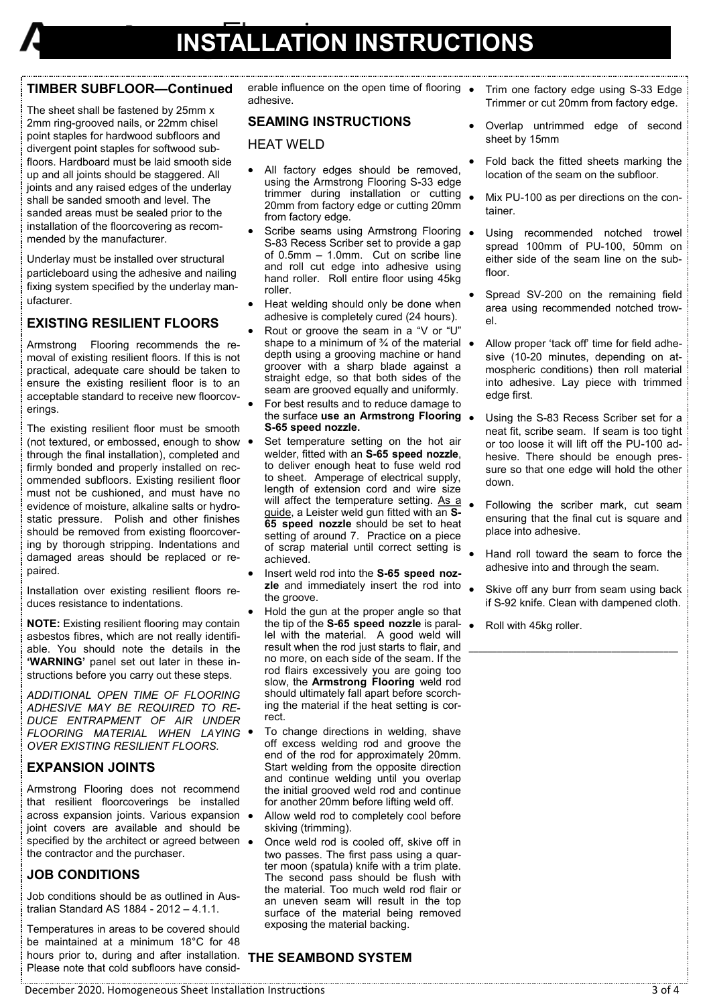#### **TIMBER SUBFLOOR—Continued**

The sheet shall be fastened by 25mm x 2mm ring-grooved nails, or 22mm chisel point staples for hardwood subfloors and divergent point staples for softwood subfloors. Hardboard must be laid smooth side up and all joints should be staggered. All joints and any raised edges of the underlay shall be sanded smooth and level. The sanded areas must be sealed prior to the installation of the floorcovering as recommended by the manufacturer.

Underlay must be installed over structural particleboard using the adhesive and nailing fixing system specified by the underlay manufacturer.

#### **EXISTING RESILIENT FLOORS**

Armstrong Flooring recommends the removal of existing resilient floors. If this is not practical, adequate care should be taken to ensure the existing resilient floor is to an acceptable standard to receive new floorcoverings.

The existing resilient floor must be smooth (not textured, or embossed, enough to show through the final installation), completed and firmly bonded and properly installed on recommended subfloors. Existing resilient floor must not be cushioned, and must have no evidence of moisture, alkaline salts or hydrostatic pressure. Polish and other finishes should be removed from existing floorcovering by thorough stripping. Indentations and damaged areas should be replaced or repaired.

Installation over existing resilient floors reduces resistance to indentations.

**NOTE:** Existing resilient flooring may contain asbestos fibres, which are not really identifiable. You should note the details in the **'WARNING'** panel set out later in these instructions before you carry out these steps.

*ADDITIONAL OPEN TIME OF FLOORING ADHESIVE MAY BE REQUIRED TO RE-DUCE ENTRAPMENT OF AIR UNDER FLOORING MATERIAL WHEN LAYING OVER EXISTING RESILIENT FLOORS.*

#### **EXPANSION JOINTS**

Armstrong Flooring does not recommend that resilient floorcoverings be installed across expansion joints. Various expansion joint covers are available and should be specified by the architect or agreed between  $\bullet$ the contractor and the purchaser.

#### **JOB CONDITIONS**

Job conditions should be as outlined in Australian Standard AS 1884 - 2012 – 4.1.1.

Temperatures in areas to be covered should be maintained at a minimum 18°C for 48 hours prior to, during and after installation. **THE SEAMBOND SYSTEM** Please note that cold subfloors have consid-

erable influence on the open time of flooring  $\bullet$ adhesive.

#### **SEAMING INSTRUCTIONS**

#### HEAT WELD

- All factory edges should be removed, using the Armstrong Flooring S-33 edge trimmer during installation or cutting . 20mm from factory edge or cutting 20mm from factory edge.
- Scribe seams using Armstrong Flooring S-83 Recess Scriber set to provide a gap of 0.5mm – 1.0mm. Cut on scribe line and roll cut edge into adhesive using hand roller. Roll entire floor using 45kg roller.
- Heat welding should only be done when adhesive is completely cured (24 hours).
- Rout or groove the seam in a "V or "U" shape to a minimum of  $\frac{3}{4}$  of the material  $\bullet$ depth using a grooving machine or hand groover with a sharp blade against a straight edge, so that both sides of the seam are grooved equally and uniformly.
- For best results and to reduce damage to the surface **use an Armstrong Flooring S-65 speed nozzle.**
- Set temperature setting on the hot air welder, fitted with an **S-65 speed nozzle**, to deliver enough heat to fuse weld rod to sheet. Amperage of electrical supply, length of extension cord and wire size will affect the temperature setting. As a guide, a Leister weld gun fitted with an **S-65 speed nozzle** should be set to heat setting of around 7. Practice on a piece of scrap material until correct setting is achieved.
- Insert weld rod into the **S-65 speed nozzle** and immediately insert the rod into the groove.
- Hold the gun at the proper angle so that the tip of the **S-65 speed nozzle** is parallel with the material. A good weld will result when the rod just starts to flair, and no more, on each side of the seam. If the rod flairs excessively you are going too slow, the **Armstrong Flooring** weld rod should ultimately fall apart before scorching the material if the heat setting is correct.
- To change directions in welding, shave off excess welding rod and groove the end of the rod for approximately 20mm. Start welding from the opposite direction and continue welding until you overlap the initial grooved weld rod and continue for another 20mm before lifting weld off.
- Allow weld rod to completely cool before skiving (trimming).
- Once weld rod is cooled off, skive off in two passes. The first pass using a quarter moon (spatula) knife with a trim plate. The second pass should be flush with the material. Too much weld rod flair or an uneven seam will result in the top surface of the material being removed exposing the material backing.
- Trim one factory edge using S-33 Edge Trimmer or cut 20mm from factory edge.
- Overlap untrimmed edge of second sheet by 15mm
- Fold back the fitted sheets marking the location of the seam on the subfloor.
- Mix PU-100 as per directions on the container.
- Using recommended notched trowel spread 100mm of PU-100, 50mm on either side of the seam line on the subfloor
- Spread SV-200 on the remaining field area using recommended notched trowel.
- Allow proper 'tack off' time for field adhesive (10-20 minutes, depending on atmospheric conditions) then roll material into adhesive. Lay piece with trimmed edge first.
- Using the S-83 Recess Scriber set for a neat fit, scribe seam. If seam is too tight or too loose it will lift off the PU-100 adhesive. There should be enough pressure so that one edge will hold the other down.
- Following the scriber mark, cut seam ensuring that the final cut is square and place into adhesive.
- Hand roll toward the seam to force the adhesive into and through the seam.
- Skive off any burr from seam using back if S-92 knife. Clean with dampened cloth.

\_\_\_\_\_\_\_\_\_\_\_\_\_\_\_\_\_\_\_\_\_\_\_\_\_\_\_\_\_\_\_\_\_\_\_\_\_\_\_\_\_\_\_\_

Roll with 45kg roller.